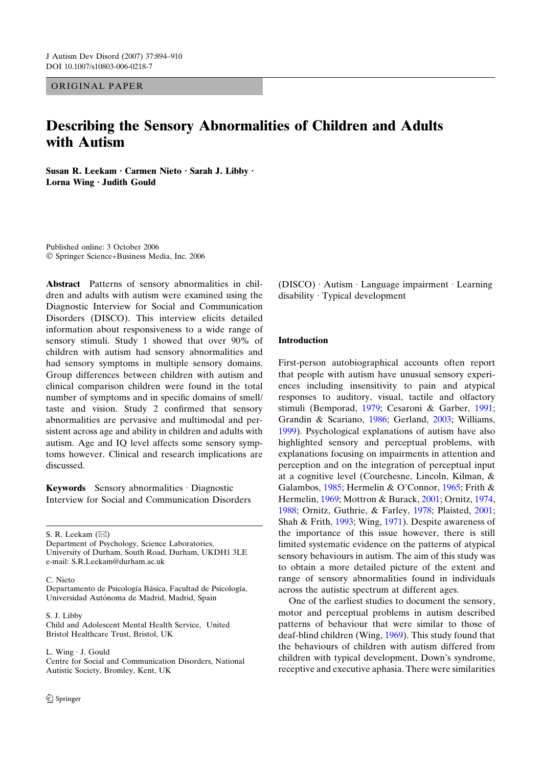OR IG INAL PAPER

# Describing the Sensory Abnormalities of Children and Adults with Autism

Susan R. Leekam  $\cdot$  Carmen Nieto  $\cdot$  Sarah J. Libby  $\cdot$ Lorna Wing · Judith Gould

Published online: 3 October 2006 Springer Science+Business Media, Inc. 2006

Abstract Patterns of sensory abnormalities in children and adults with autism were examined using the Diagnostic Interview for Social and Communication Disorders (DISCO). This interview elicits detailed information about responsiveness to a wide range of sensory stimuli. Study 1 showed that over 90% of children with autism had sensory abnormalities and had sensory symptoms in multiple sensory domains. Group differences between children with autism and clinical comparison children were found in the total number of symptoms and in specific domains of smell/ taste and vision. Study 2 confirmed that sensory abnormalities are pervasive and multimodal and persistent across age and ability in children and adults with autism. Age and IQ level affects some sensory symptoms however. Clinical and research implications are discussed.

Keywords Sensory abnormalities  $\cdot$  Diagnostic Interview for Social and Communication Disorders

S. R. Leekam  $(\boxtimes)$ 

Department of Psychology, Science Laboratories, University of Durham, South Road, Durham, UKDH1 3LE e-mail: S.R.Leekam@durham.ac.uk

C. Nieto

Departamento de Psicología Básica, Facultad de Psicología, Universidad Autónoma de Madrid, Madrid, Spain

#### S. J. Libby

Child and Adolescent Mental Health Service, United Bristol Healthcare Trust, Bristol, UK

L. Wing · J. Gould

Centre for Social and Communication Disorders, National Autistic Society, Bromley, Kent, UK

 $(DISCO)$  Autism · Language impairment · Learning disability Typical development

# Introduction

First-person autobiographical accounts often report that people with autism have unusual sensory experiences including insensitivity to pain and atypical responses to auditory, visual, tactile and olfactory stimuli (Bemporad, 1979; Cesaroni & Garber, 1991; Grandin & Scariano, 1986; Gerland, 2003; Williams, 1999). Psychological explanations of autism have also highlighted sensory and perceptual problems, with explanations focusing on impairments in attention and perception and on the integration of perceptual input at a cognitive level (Courchesne, Lincoln, Kilman, & Galambos, 1985; Hermelin & O'Connor, 1965; Frith & Hermelin, 1969; Mottron & Burack, 2001; Ornitz, 1974, 1988; Ornitz, Guthrie, & Farley, 1978; Plaisted, 2001; Shah & Frith, 1993; Wing, 1971). Despite awareness of the importance of this issue however, there is still limited systematic evidence on the patterns of atypical sensory behaviours in autism. The aim of this study was to obtain a more detailed picture of the extent and range of sensory abnormalities found in individuals across the autistic spectrum at different ages.

One of the earliest studies to document the sensory, motor and perceptual problems in autism described patterns of behaviour that were similar to those of deaf-blind children (Wing, 1969). This study found that the behaviours of children with autism differed from children with typical development, Down's syndrome, receptive and executive aphasia. There were similarities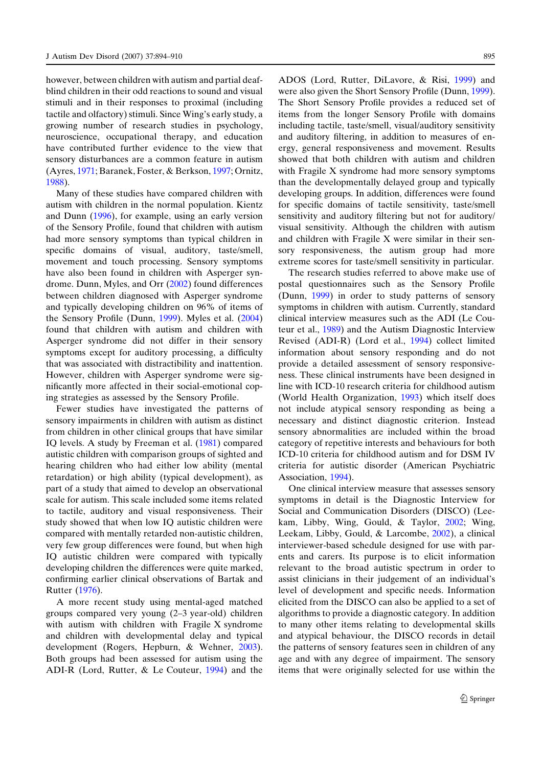however, between children with autism and partial deafblind children in their odd reactions to sound and visual stimuli and in their responses to proximal (including tactile and olfactory) stimuli. Since Wing's early study, a growing number of research studies in psychology, neuroscience, occupational therapy, and education have contributed further evidence to the view that sensory disturbances are a common feature in autism (Ayres, 1971; Baranek, Foster, & Berkson, 1997; Ornitz, 1988).

Many of these studies have compared children with autism with children in the normal population. Kientz and Dunn (1996), for example, using an early version of the Sensory Profile, found that children with autism had more sensory symptoms than typical children in specific domains of visual, auditory, taste/smell, movement and touch processing. Sensory symptoms have also been found in children with Asperger syndrome. Dunn, Myles, and Orr (2002) found differences between children diagnosed with Asperger syndrome and typically developing children on 96% of items of the Sensory Profile (Dunn, 1999). Myles et al. (2004) found that children with autism and children with Asperger syndrome did not differ in their sensory symptoms except for auditory processing, a difficulty that was associated with distractibility and inattention. However, children with Asperger syndrome were significantly more affected in their social-emotional coping strategies as assessed by the Sensory Profile.

Fewer studies have investigated the patterns of sensory impairments in children with autism as distinct from children in other clinical groups that have similar IQ levels. A study by Freeman et al. (1981) compared autistic children with comparison groups of sighted and hearing children who had either low ability (mental retardation) or high ability (typical development), as part of a study that aimed to develop an observational scale for autism. This scale included some items related to tactile, auditory and visual responsiveness. Their study showed that when low IQ autistic children were compared with mentally retarded non-autistic children, very few group differences were found, but when high IQ autistic children were compared with typically developing children the differences were quite marked, confirming earlier clinical observations of Bartak and Rutter (1976).

A more recent study using mental-aged matched groups compared very young (2–3 year-old) children with autism with children with Fragile X syndrome and children with developmental delay and typical development (Rogers, Hepburn, & Wehner, 2003). Both groups had been assessed for autism using the ADI-R (Lord, Rutter, & Le Couteur, 1994) and the

ADOS (Lord, Rutter, DiLavore, & Risi, 1999) and were also given the Short Sensory Profile (Dunn, 1999). The Short Sensory Profile provides a reduced set of items from the longer Sensory Profile with domains including tactile, taste/smell, visual/auditory sensitivity and auditory filtering, in addition to measures of energy, general responsiveness and movement. Results showed that both children with autism and children with Fragile X syndrome had more sensory symptoms than the developmentally delayed group and typically developing groups. In addition, differences were found for specific domains of tactile sensitivity, taste/smell sensitivity and auditory filtering but not for auditory/ visual sensitivity. Although the children with autism and children with Fragile X were similar in their sensory responsiveness, the autism group had more extreme scores for taste/smell sensitivity in particular.

The research studies referred to above make use of postal questionnaires such as the Sensory Profile (Dunn, 1999) in order to study patterns of sensory symptoms in children with autism. Currently, standard clinical interview measures such as the ADI (Le Couteur et al., 1989) and the Autism Diagnostic Interview Revised (ADI-R) (Lord et al., 1994) collect limited information about sensory responding and do not provide a detailed assessment of sensory responsiveness. These clinical instruments have been designed in line with ICD-10 research criteria for childhood autism (World Health Organization, 1993) which itself does not include atypical sensory responding as being a necessary and distinct diagnostic criterion. Instead sensory abnormalities are included within the broad category of repetitive interests and behaviours for both ICD-10 criteria for childhood autism and for DSM IV criteria for autistic disorder (American Psychiatric Association, 1994).

One clinical interview measure that assesses sensory symptoms in detail is the Diagnostic Interview for Social and Communication Disorders (DISCO) (Leekam, Libby, Wing, Gould, & Taylor, 2002; Wing, Leekam, Libby, Gould, & Larcombe, 2002), a clinical interviewer-based schedule designed for use with parents and carers. Its purpose is to elicit information relevant to the broad autistic spectrum in order to assist clinicians in their judgement of an individual's level of development and specific needs. Information elicited from the DISCO can also be applied to a set of algorithms to provide a diagnostic category. In addition to many other items relating to developmental skills and atypical behaviour, the DISCO records in detail the patterns of sensory features seen in children of any age and with any degree of impairment. The sensory items that were originally selected for use within the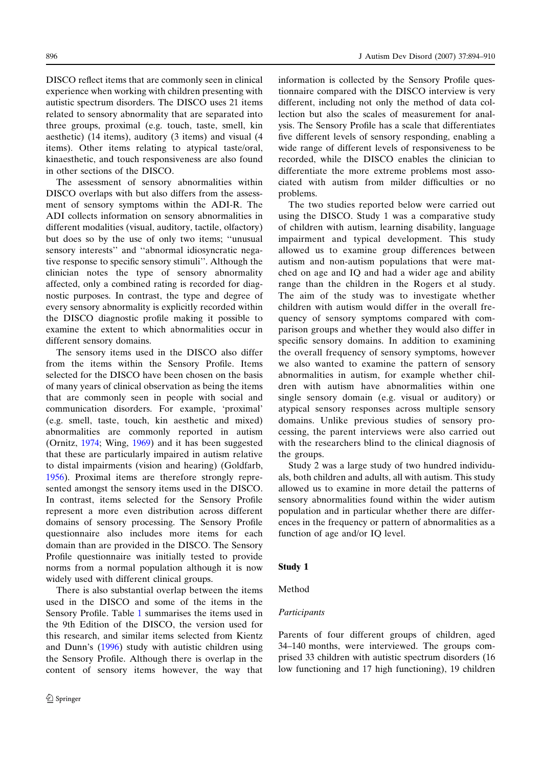DISCO reflect items that are commonly seen in clinical experience when working with children presenting with autistic spectrum disorders. The DISCO uses 21 items related to sensory abnormality that are separated into three groups, proximal (e.g. touch, taste, smell, kin aesthetic) (14 items), auditory (3 items) and visual (4 items). Other items relating to atypical taste/oral, kinaesthetic, and touch responsiveness are also found in other sections of the DISCO.

The assessment of sensory abnormalities within DISCO overlaps with but also differs from the assessment of sensory symptoms within the ADI-R. The ADI collects information on sensory abnormalities in different modalities (visual, auditory, tactile, olfactory) but does so by the use of only two items; ''unusual sensory interests'' and ''abnormal idiosyncratic negative response to specific sensory stimuli''. Although the clinician notes the type of sensory abnormality affected, only a combined rating is recorded for diagnostic purposes. In contrast, the type and degree of every sensory abnormality is explicitly recorded within the DISCO diagnostic profile making it possible to examine the extent to which abnormalities occur in different sensory domains.

The sensory items used in the DISCO also differ from the items within the Sensory Profile. Items selected for the DISCO have been chosen on the basis of many years of clinical observation as being the items that are commonly seen in people with social and communication disorders. For example, 'proximal' (e.g. smell, taste, touch, kin aesthetic and mixed) abnormalities are commonly reported in autism (Ornitz, 1974; Wing, 1969) and it has been suggested that these are particularly impaired in autism relative to distal impairments (vision and hearing) (Goldfarb, 1956). Proximal items are therefore strongly represented amongst the sensory items used in the DISCO. In contrast, items selected for the Sensory Profile represent a more even distribution across different domains of sensory processing. The Sensory Profile questionnaire also includes more items for each domain than are provided in the DISCO. The Sensory Profile questionnaire was initially tested to provide norms from a normal population although it is now widely used with different clinical groups.

There is also substantial overlap between the items used in the DISCO and some of the items in the Sensory Profile. Table 1 summarises the items used in the 9th Edition of the DISCO, the version used for this research, and similar items selected from Kientz and Dunn's (1996) study with autistic children using the Sensory Profile. Although there is overlap in the content of sensory items however, the way that information is collected by the Sensory Profile questionnaire compared with the DISCO interview is very different, including not only the method of data collection but also the scales of measurement for analysis. The Sensory Profile has a scale that differentiates five different levels of sensory responding, enabling a wide range of different levels of responsiveness to be recorded, while the DISCO enables the clinician to differentiate the more extreme problems most associated with autism from milder difficulties or no problems.

The two studies reported below were carried out using the DISCO. Study 1 was a comparative study of children with autism, learning disability, language impairment and typical development. This study allowed us to examine group differences between autism and non-autism populations that were matched on age and IQ and had a wider age and ability range than the children in the Rogers et al study. The aim of the study was to investigate whether children with autism would differ in the overall frequency of sensory symptoms compared with comparison groups and whether they would also differ in specific sensory domains. In addition to examining the overall frequency of sensory symptoms, however we also wanted to examine the pattern of sensory abnormalities in autism, for example whether children with autism have abnormalities within one single sensory domain (e.g. visual or auditory) or atypical sensory responses across multiple sensory domains. Unlike previous studies of sensory processing, the parent interviews were also carried out with the researchers blind to the clinical diagnosis of the groups.

Study 2 was a large study of two hundred individuals, both children and adults, all with autism. This study allowed us to examine in more detail the patterns of sensory abnormalities found within the wider autism population and in particular whether there are differences in the frequency or pattern of abnormalities as a function of age and/or IQ level.

# Study 1

Method

#### Participants

Parents of four different groups of children, aged 34–140 months, were interviewed. The groups comprised 33 children with autistic spectrum disorders (16 low functioning and 17 high functioning), 19 children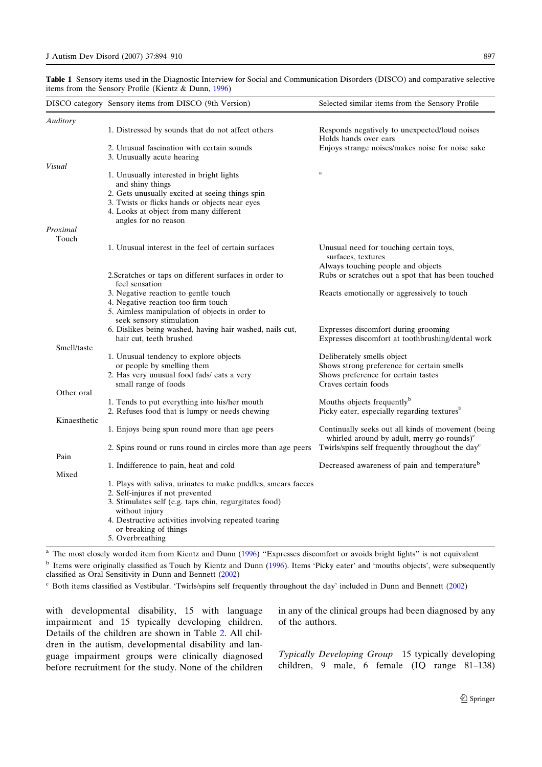|              | DISCO category Sensory items from DISCO (9th Version)                                                            | Selected similar items from the Sensory Profile                                                              |
|--------------|------------------------------------------------------------------------------------------------------------------|--------------------------------------------------------------------------------------------------------------|
| Auditory     |                                                                                                                  |                                                                                                              |
|              | 1. Distressed by sounds that do not affect others                                                                | Responds negatively to unexpected/loud noises<br>Holds hands over ears                                       |
|              | 2. Unusual fascination with certain sounds                                                                       | Enjoys strange noises/makes noise for noise sake                                                             |
| Visual       | 3. Unusually acute hearing                                                                                       |                                                                                                              |
|              | 1. Unusually interested in bright lights<br>and shiny things                                                     | a                                                                                                            |
|              | 2. Gets unusually excited at seeing things spin                                                                  |                                                                                                              |
|              | 3. Twists or flicks hands or objects near eyes<br>4. Looks at object from many different<br>angles for no reason |                                                                                                              |
| Proximal     |                                                                                                                  |                                                                                                              |
| Touch        |                                                                                                                  |                                                                                                              |
|              | 1. Unusual interest in the feel of certain surfaces                                                              | Unusual need for touching certain toys,<br>surfaces, textures                                                |
|              | 2. Scratches or taps on different surfaces in order to<br>feel sensation                                         | Always touching people and objects<br>Rubs or scratches out a spot that has been touched                     |
|              | 3. Negative reaction to gentle touch<br>4. Negative reaction too firm touch                                      | Reacts emotionally or aggressively to touch                                                                  |
|              | 5. Aimless manipulation of objects in order to<br>seek sensory stimulation                                       |                                                                                                              |
|              | 6. Dislikes being washed, having hair washed, nails cut,<br>hair cut, teeth brushed                              | Expresses discomfort during grooming<br>Expresses discomfort at toothbrushing/dental work                    |
| Smell/taste  |                                                                                                                  |                                                                                                              |
|              | 1. Unusual tendency to explore objects<br>or people by smelling them                                             | Deliberately smells object<br>Shows strong preference for certain smells                                     |
|              | 2. Has very unusual food fads/ eats a very                                                                       | Shows preference for certain tastes                                                                          |
|              | small range of foods                                                                                             | Craves certain foods                                                                                         |
| Other oral   | 1. Tends to put everything into his/her mouth                                                                    | Mouths objects frequently <sup>b</sup>                                                                       |
|              | 2. Refuses food that is lumpy or needs chewing                                                                   | Picky eater, especially regarding textures <sup>b</sup>                                                      |
| Kinaesthetic |                                                                                                                  |                                                                                                              |
|              | 1. Enjoys being spun round more than age peers                                                                   | Continually seeks out all kinds of movement (being<br>whirled around by adult, merry-go-rounds) <sup>c</sup> |
| Pain         | 2. Spins round or runs round in circles more than age peers                                                      | Twirls/spins self frequently throughout the day <sup>c</sup>                                                 |
|              | 1. Indifference to pain, heat and cold                                                                           | Decreased awareness of pain and temperature <sup>b</sup>                                                     |
| Mixed        |                                                                                                                  |                                                                                                              |
|              | 1. Plays with saliva, urinates to make puddles, smears faeces<br>2. Self-injures if not prevented                |                                                                                                              |
|              | 3. Stimulates self (e.g. taps chin, regurgitates food)<br>without injury                                         |                                                                                                              |
|              | 4. Destructive activities involving repeated tearing<br>or breaking of things<br>5. Overbreathing                |                                                                                                              |

Table 1 Sensory items used in the Diagnostic Interview for Social and Communication Disorders (DISCO) and comparative selective items from the Sensory Profile (Kientz & Dunn, 1996)

<sup>a</sup> The most closely worded item from Kientz and Dunn (1996) "Expresses discomfort or avoids bright lights" is not equivalent

<sup>b</sup> Items were originally classified as Touch by Kientz and Dunn (1996). Items 'Picky eater' and 'mouths objects', were subsequently classified as Oral Sensitivity in Dunn and Bennett (2002)

 $\degree$  Both items classified as Vestibular. 'Twirls/spins self frequently throughout the day' included in Dunn and Bennett (2002)

with developmental disability, 15 with language impairment and 15 typically developing children. Details of the children are shown in Table 2. All children in the autism, developmental disability and language impairment groups were clinically diagnosed before recruitment for the study. None of the children

in any of the clinical groups had been diagnosed by any of the authors.

Typically Developing Group 15 typically developing children, 9 male, 6 female (IQ range 81–138)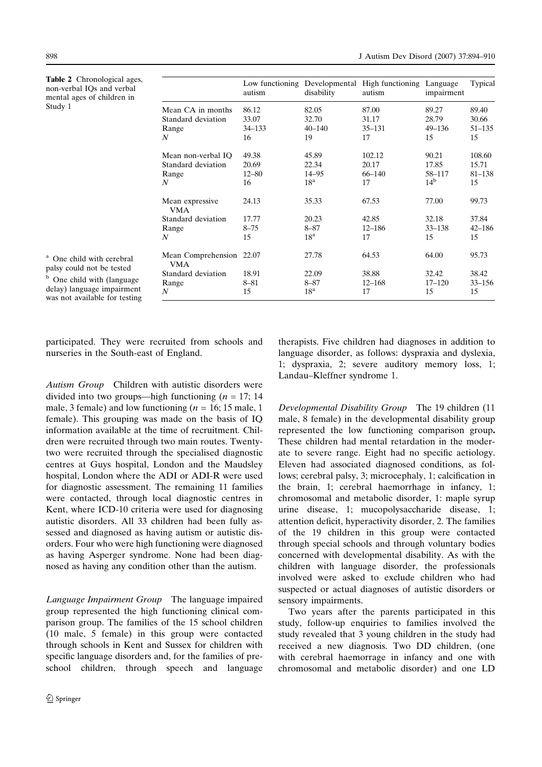Table 2 Chronological ages, non-verbal IQs and verbal mental ages of children in Study 1

|                                        | autism     | disability      | Low functioning Developmental High functioning Language<br>autism | impairment      | Typical    |
|----------------------------------------|------------|-----------------|-------------------------------------------------------------------|-----------------|------------|
| Mean CA in months                      | 86.12      | 82.05           | 87.00                                                             | 89.27           | 89.40      |
| Standard deviation                     | 33.07      | 32.70           | 31.17                                                             | 28.79           | 30.66      |
| Range                                  | $34 - 133$ | $40 - 140$      | $35 - 131$                                                        | 49–136          | $51 - 135$ |
| N                                      | 16         | 19              | 17                                                                | 15              | 15         |
| Mean non-verbal IO                     | 49.38      | 45.89           | 102.12                                                            | 90.21           | 108.60     |
| Standard deviation                     | 20.69      | 22.34           | 20.17                                                             | 17.85           | 15.71      |
| Range                                  | $12 - 80$  | $14 - 95$       | $66 - 140$                                                        | 58-117          | $81 - 138$ |
| N                                      | 16         | 18 <sup>a</sup> | 17                                                                | 14 <sup>b</sup> | 15         |
| Mean expressive<br><b>VMA</b>          | 24.13      | 35.33           | 67.53                                                             | 77.00           | 99.73      |
| Standard deviation                     | 17.77      | 20.23           | 42.85                                                             | 32.18           | 37.84      |
| Range                                  | $8 - 75$   | $8 - 87$        | $12 - 186$                                                        | $33 - 138$      | $42 - 186$ |
| $\boldsymbol{N}$                       | 15         | 18 <sup>a</sup> | 17                                                                | 15              | 15         |
| Mean Comprehension 22.07<br><b>VMA</b> |            | 27.78           | 64.53                                                             | 64.00           | 95.73      |
| Standard deviation                     | 18.91      | 22.09           | 38.88                                                             | 32.42           | 38.42      |
| Range                                  | $8 - 81$   | $8 - 87$        | $12 - 168$                                                        | $17 - 120$      | $33 - 156$ |
| N                                      | 15         | 18 <sup>a</sup> | 17                                                                | 15              | 15         |

<sup>a</sup> One child with cerebral palsy could not be tested

One child with (language delay) language impairment was not available for testing

participated. They were recruited from schools and nurseries in the South-east of England.

Autism Group Children with autistic disorders were divided into two groups—high functioning  $(n = 17; 14)$ male, 3 female) and low functioning ( $n = 16$ ; 15 male, 1 female). This grouping was made on the basis of IQ information available at the time of recruitment. Children were recruited through two main routes. Twentytwo were recruited through the specialised diagnostic centres at Guys hospital, London and the Maudsley hospital, London where the ADI or ADI-R were used for diagnostic assessment. The remaining 11 families were contacted, through local diagnostic centres in Kent, where ICD-10 criteria were used for diagnosing autistic disorders. All 33 children had been fully assessed and diagnosed as having autism or autistic disorders. Four who were high functioning were diagnosed as having Asperger syndrome. None had been diagnosed as having any condition other than the autism.

Language Impairment Group The language impaired group represented the high functioning clinical comparison group. The families of the 15 school children (10 male, 5 female) in this group were contacted through schools in Kent and Sussex for children with specific language disorders and, for the families of preschool children, through speech and language therapists. Five children had diagnoses in addition to language disorder, as follows: dyspraxia and dyslexia, 1; dyspraxia, 2; severe auditory memory loss, 1; Landau–Kleffner syndrome 1.

Developmental Disability Group The 19 children (11 male, 8 female) in the developmental disability group represented the low functioning comparison group. These children had mental retardation in the moderate to severe range. Eight had no specific aetiology. Eleven had associated diagnosed conditions, as follows; cerebral palsy, 3; microcephaly, 1; calcification in the brain, 1; cerebral haemorrhage in infancy, 1; chromosomal and metabolic disorder, 1: maple syrup urine disease, 1; mucopolysaccharide disease, 1; attention deficit, hyperactivity disorder, 2. The families of the 19 children in this group were contacted through special schools and through voluntary bodies concerned with developmental disability. As with the children with language disorder, the professionals involved were asked to exclude children who had suspected or actual diagnoses of autistic disorders or sensory impairments.

Two years after the parents participated in this study, follow-up enquiries to families involved the study revealed that 3 young children in the study had received a new diagnosis. Two DD children, (one with cerebral haemorrage in infancy and one with chromosomal and metabolic disorder) and one LD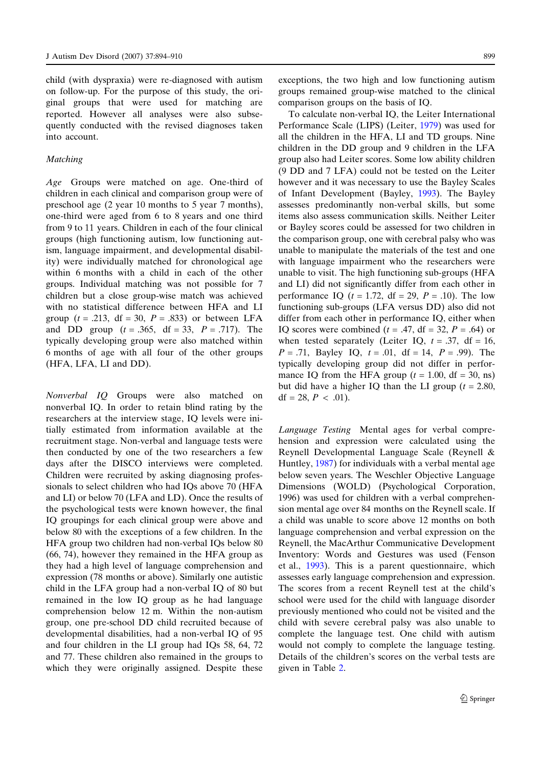child (with dyspraxia) were re-diagnosed with autism on follow-up. For the purpose of this study, the original groups that were used for matching are reported. However all analyses were also subsequently conducted with the revised diagnoses taken into account.

# Matching

Age Groups were matched on age. One-third of children in each clinical and comparison group were of preschool age (2 year 10 months to 5 year 7 months), one-third were aged from 6 to 8 years and one third from 9 to 11 years. Children in each of the four clinical groups (high functioning autism, low functioning autism, language impairment, and developmental disability) were individually matched for chronological age within 6 months with a child in each of the other groups. Individual matching was not possible for 7 children but a close group-wise match was achieved with no statistical difference between HFA and LI group ( $t = .213$ , df = 30,  $P = .833$ ) or between LFA and DD group  $(t = .365, df = 33, P = .717)$ . The typically developing group were also matched within 6 months of age with all four of the other groups (HFA, LFA, LI and DD).

Nonverbal IQ Groups were also matched on nonverbal IQ. In order to retain blind rating by the researchers at the interview stage, IQ levels were initially estimated from information available at the recruitment stage. Non-verbal and language tests were then conducted by one of the two researchers a few days after the DISCO interviews were completed. Children were recruited by asking diagnosing professionals to select children who had IQs above 70 (HFA and LI) or below 70 (LFA and LD). Once the results of the psychological tests were known however, the final IQ groupings for each clinical group were above and below 80 with the exceptions of a few children. In the HFA group two children had non-verbal IQs below 80 (66, 74), however they remained in the HFA group as they had a high level of language comprehension and expression (78 months or above). Similarly one autistic child in the LFA group had a non-verbal IQ of 80 but remained in the low IQ group as he had language comprehension below 12 m. Within the non-autism group, one pre-school DD child recruited because of developmental disabilities, had a non-verbal IQ of 95 and four children in the LI group had IQs 58, 64, 72 and 77. These children also remained in the groups to which they were originally assigned. Despite these exceptions, the two high and low functioning autism groups remained group-wise matched to the clinical comparison groups on the basis of IQ.

To calculate non-verbal IQ, the Leiter International Performance Scale (LIPS) (Leiter, 1979) was used for all the children in the HFA, LI and TD groups. Nine children in the DD group and 9 children in the LFA group also had Leiter scores. Some low ability children (9 DD and 7 LFA) could not be tested on the Leiter however and it was necessary to use the Bayley Scales of Infant Development (Bayley, 1993). The Bayley assesses predominantly non-verbal skills, but some items also assess communication skills. Neither Leiter or Bayley scores could be assessed for two children in the comparison group, one with cerebral palsy who was unable to manipulate the materials of the test and one with language impairment who the researchers were unable to visit. The high functioning sub-groups (HFA and LI) did not significantly differ from each other in performance IQ ( $t = 1.72$ , df = 29,  $P = .10$ ). The low functioning sub-groups (LFA versus DD) also did not differ from each other in performance IQ, either when IQ scores were combined ( $t = .47$ , df = 32,  $P = .64$ ) or when tested separately (Leiter IQ,  $t = .37$ , df = 16,  $P = .71$ , Bayley IQ,  $t = .01$ , df = 14,  $P = .99$ ). The typically developing group did not differ in performance IQ from the HFA group  $(t = 1.00, df = 30, ns)$ but did have a higher IQ than the LI group  $(t = 2.80,$ df = 28,  $P < .01$ ).

Language Testing Mental ages for verbal comprehension and expression were calculated using the Reynell Developmental Language Scale (Reynell & Huntley, 1987) for individuals with a verbal mental age below seven years. The Weschler Objective Language Dimensions (WOLD) (Psychological Corporation, 1996) was used for children with a verbal comprehension mental age over 84 months on the Reynell scale. If a child was unable to score above 12 months on both language comprehension and verbal expression on the Reynell, the MacArthur Communicative Development Inventory: Words and Gestures was used (Fenson et al., 1993). This is a parent questionnaire, which assesses early language comprehension and expression. The scores from a recent Reynell test at the child's school were used for the child with language disorder previously mentioned who could not be visited and the child with severe cerebral palsy was also unable to complete the language test. One child with autism would not comply to complete the language testing. Details of the children's scores on the verbal tests are given in Table 2.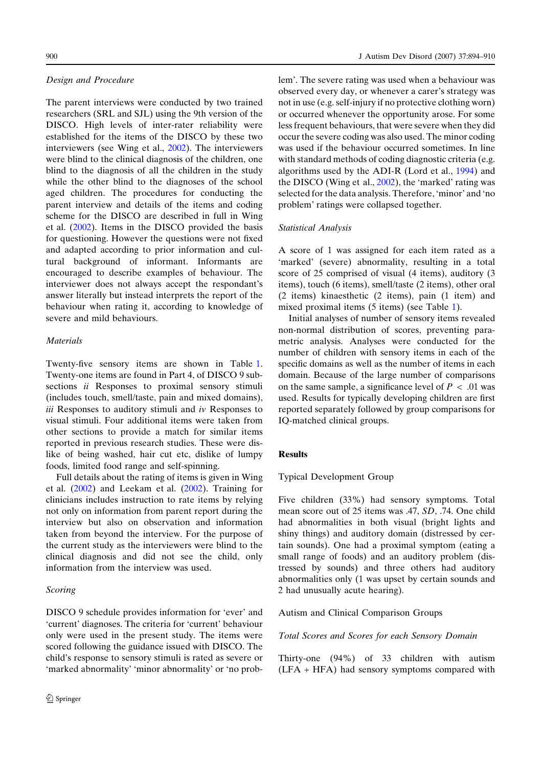# Design and Procedure

The parent interviews were conducted by two trained researchers (SRL and SJL) using the 9th version of the DISCO. High levels of inter-rater reliability were established for the items of the DISCO by these two interviewers (see Wing et al., 2002). The interviewers were blind to the clinical diagnosis of the children, one blind to the diagnosis of all the children in the study while the other blind to the diagnoses of the school aged children. The procedures for conducting the parent interview and details of the items and coding scheme for the DISCO are described in full in Wing et al. (2002). Items in the DISCO provided the basis for questioning. However the questions were not fixed and adapted according to prior information and cultural background of informant. Informants are encouraged to describe examples of behaviour. The interviewer does not always accept the respondant's answer literally but instead interprets the report of the behaviour when rating it, according to knowledge of severe and mild behaviours.

# **Materials**

Twenty-five sensory items are shown in Table 1. Twenty-one items are found in Part 4, of DISCO 9 subsections *ii* Responses to proximal sensory stimuli (includes touch, smell/taste, pain and mixed domains),  $iii$  Responses to auditory stimuli and  $iv$  Responses to visual stimuli. Four additional items were taken from other sections to provide a match for similar items reported in previous research studies. These were dislike of being washed, hair cut etc, dislike of lumpy foods, limited food range and self-spinning.

Full details about the rating of items is given in Wing et al. (2002) and Leekam et al. (2002). Training for clinicians includes instruction to rate items by relying not only on information from parent report during the interview but also on observation and information taken from beyond the interview. For the purpose of the current study as the interviewers were blind to the clinical diagnosis and did not see the child, only information from the interview was used.

# Scoring

DISCO 9 schedule provides information for 'ever' and 'current' diagnoses. The criteria for 'current' behaviour only were used in the present study. The items were scored following the guidance issued with DISCO. The child's response to sensory stimuli is rated as severe or 'marked abnormality' 'minor abnormality' or 'no problem'. The severe rating was used when a behaviour was observed every day, or whenever a carer's strategy was not in use (e.g. self-injury if no protective clothing worn) or occurred whenever the opportunity arose. For some less frequent behaviours, that were severe when they did occur the severe coding was also used. The minor coding was used if the behaviour occurred sometimes. In line with standard methods of coding diagnostic criteria (e.g. algorithms used by the ADI-R (Lord et al., 1994) and the DISCO (Wing et al., 2002), the 'marked' rating was selected for the data analysis. Therefore, 'minor' and 'no problem' ratings were collapsed together.

# Statistical Analysis

A score of 1 was assigned for each item rated as a 'marked' (severe) abnormality, resulting in a total score of 25 comprised of visual (4 items), auditory (3 items), touch (6 items), smell/taste (2 items), other oral (2 items) kinaesthetic (2 items), pain (1 item) and mixed proximal items (5 items) (see Table 1).

Initial analyses of number of sensory items revealed non-normal distribution of scores, preventing parametric analysis. Analyses were conducted for the number of children with sensory items in each of the specific domains as well as the number of items in each domain. Because of the large number of comparisons on the same sample, a significance level of  $P < .01$  was used. Results for typically developing children are first reported separately followed by group comparisons for IQ-matched clinical groups.

#### **Results**

#### Typical Development Group

Five children (33%) had sensory symptoms. Total mean score out of 25 items was .47, SD, .74. One child had abnormalities in both visual (bright lights and shiny things) and auditory domain (distressed by certain sounds). One had a proximal symptom (eating a small range of foods) and an auditory problem (distressed by sounds) and three others had auditory abnormalities only (1 was upset by certain sounds and 2 had unusually acute hearing).

Autism and Clinical Comparison Groups

#### Total Scores and Scores for each Sensory Domain

Thirty-one (94%) of 33 children with autism (LFA + HFA) had sensory symptoms compared with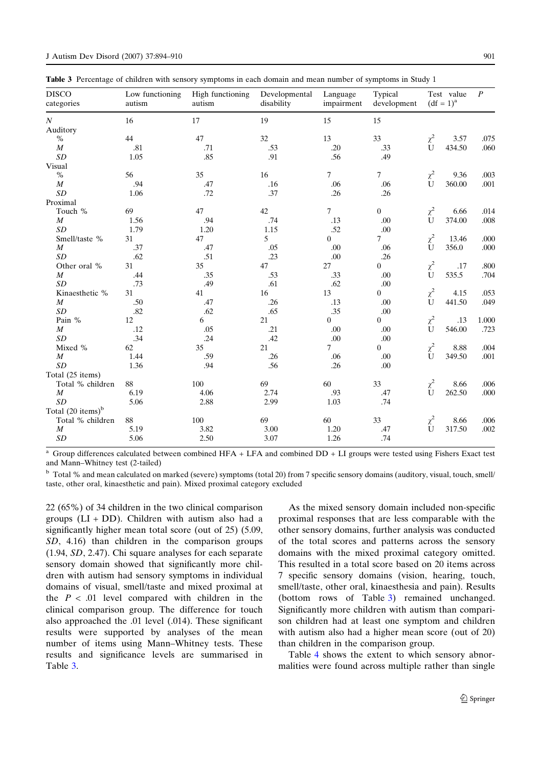|  | <b>Table 3</b> Percentage of children with sensory symptoms in each domain and mean number of symptoms in Study 1 |  |  |
|--|-------------------------------------------------------------------------------------------------------------------|--|--|
|  |                                                                                                                   |  |  |

| <b>DISCO</b><br>categories      | Low functioning<br>autism | High functioning<br>autism | Developmental<br>disability | Language<br>impairment | Typical<br>development |             | Test value<br>$(df = 1)^{a}$ | $\boldsymbol{P}$ |
|---------------------------------|---------------------------|----------------------------|-----------------------------|------------------------|------------------------|-------------|------------------------------|------------------|
| N                               | 16                        | 17                         | 19                          | 15                     | 15                     |             |                              |                  |
| Auditory                        |                           |                            |                             |                        |                        |             |                              |                  |
| $\%$                            | 44                        | 47                         | 32                          | 13                     | 33                     | $\chi^2$    | 3.57                         | .075             |
| $\boldsymbol{M}$                | .81                       | .71                        | .53                         | .20                    | .33                    | U           | 434.50                       | .060             |
| $\cal SD$                       | 1.05                      | .85                        | .91                         | .56                    | .49                    |             |                              |                  |
| Visual                          |                           |                            |                             |                        |                        |             |                              |                  |
| $\%$                            | 56                        | 35                         | 16                          | $\tau$                 | $\tau$                 | $\chi^2$    | 9.36                         | .003             |
| $\cal M$                        | .94                       | .47                        | .16                         | .06                    | .06                    | $\mathbf U$ | 360.00                       | .001             |
| SD                              | 1.06                      | .72                        | .37                         | .26                    | .26                    |             |                              |                  |
| Proximal                        |                           |                            |                             |                        |                        |             |                              |                  |
| Touch %                         | 69                        | 47                         | 42                          | $\overline{7}$         | $\overline{0}$         | $\chi^2$    | 6.66                         | .014             |
| $\cal M$                        | 1.56                      | .94                        | .74                         | .13                    | .00.                   | $\mathbf U$ | 374.00                       | .008             |
| SD                              | 1.79                      | 1.20                       | 1.15                        | .52                    | .00                    |             |                              |                  |
| Smell/taste %                   | 31                        | 47                         | 5                           | $\theta$               | $\tau$                 | $\chi^2$    | 13.46                        | .000             |
| $\boldsymbol{M}$                | .37                       | .47                        | .05                         | .00                    | .06                    | U           | 356.0                        | .000             |
| SD                              | .62                       | .51                        | .23                         | .00                    | .26                    |             |                              |                  |
| Other oral %                    | 31                        | 35                         | 47                          | 27                     | $\overline{0}$         | $\chi^2$    | .17                          | .800             |
| $\boldsymbol{M}$                | .44                       | .35                        | .53                         | .33                    | .00                    | $\mathbf U$ | 535.5                        | .704             |
| <b>SD</b>                       | .73                       | .49                        | .61                         | .62                    | .00                    |             |                              |                  |
| Kinaesthetic %                  | 31                        | 41                         | 16                          | 13                     | $\overline{0}$         | $\chi^2$    | 4.15                         | .053             |
| $\boldsymbol{M}$                | .50                       | .47                        | .26                         | .13                    | .00                    | U           | 441.50                       | .049             |
| SD                              | .82                       | .62                        | .65                         | .35                    | .00.                   |             |                              |                  |
| Pain %                          | 12                        | 6                          | 21                          | $\theta$               | $\Omega$               | $\chi^2$    | .13                          | 1.000            |
| $\boldsymbol{M}$                | .12                       | .05                        | .21                         | .00                    | .00                    | $\mathbf U$ | 546.00                       | .723             |
| SD                              | .34                       | .24                        | .42                         | .00                    | .00                    |             |                              |                  |
| Mixed %                         | 62                        | 35                         | 21                          | 7                      | $\overline{0}$         | $\chi^2$    | 8.88                         | .004             |
| $\boldsymbol{M}$                | 1.44                      | .59                        | .26                         | .06                    | .00                    | U           | 349.50                       | .001             |
| <b>SD</b>                       | 1.36                      | .94                        | .56                         | .26                    | .00                    |             |                              |                  |
| Total (25 items)                |                           |                            |                             |                        |                        |             |                              |                  |
| Total % children                | 88                        | 100                        | 69                          | 60                     | 33                     | $\chi^2$    | 8.66                         | .006             |
| $\boldsymbol{M}$                | 6.19                      | 4.06                       | 2.74                        | .93                    | .47                    | U           | 262.50                       | .000             |
| $\cal SD$                       | 5.06                      | 2.88                       | 2.99                        | 1.03                   | .74                    |             |                              |                  |
| Total $(20$ items) <sup>b</sup> |                           |                            |                             |                        |                        |             |                              |                  |
| Total % children                | 88                        | 100                        | 69                          | 60                     | 33                     | $\chi^2$    | 8.66                         | .006             |
| $\boldsymbol{M}$                | 5.19                      | 3.82                       | 3.00                        | 1.20                   | .47                    | $\mathbf U$ | 317.50                       | .002             |
| SD                              | 5.06                      | 2.50                       | 3.07                        | 1.26                   | .74                    |             |                              |                  |

<sup>a</sup> Group differences calculated between combined HFA + LFA and combined DD + LI groups were tested using Fishers Exact test and Mann–Whitney test (2-tailed)

<sup>b</sup> Total % and mean calculated on marked (severe) symptoms (total 20) from 7 specific sensory domains (auditory, visual, touch, smell/ taste, other oral, kinaesthetic and pain). Mixed proximal category excluded

22 (65%) of 34 children in the two clinical comparison groups  $(LI + DD)$ . Children with autism also had a significantly higher mean total score (out of 25) (5.09, SD, 4.16) than children in the comparison groups (1.94, SD, 2.47). Chi square analyses for each separate sensory domain showed that significantly more children with autism had sensory symptoms in individual domains of visual, smell/taste and mixed proximal at the  $P < .01$  level compared with children in the clinical comparison group. The difference for touch also approached the .01 level (.014). These significant results were supported by analyses of the mean number of items using Mann–Whitney tests. These results and significance levels are summarised in Table 3.

As the mixed sensory domain included non-specific proximal responses that are less comparable with the other sensory domains, further analysis was conducted of the total scores and patterns across the sensory domains with the mixed proximal category omitted. This resulted in a total score based on 20 items across 7 specific sensory domains (vision, hearing, touch, smell/taste, other oral, kinaesthesia and pain). Results (bottom rows of Table 3) remained unchanged. Significantly more children with autism than comparison children had at least one symptom and children with autism also had a higher mean score (out of 20) than children in the comparison group.

Table 4 shows the extent to which sensory abnormalities were found across multiple rather than single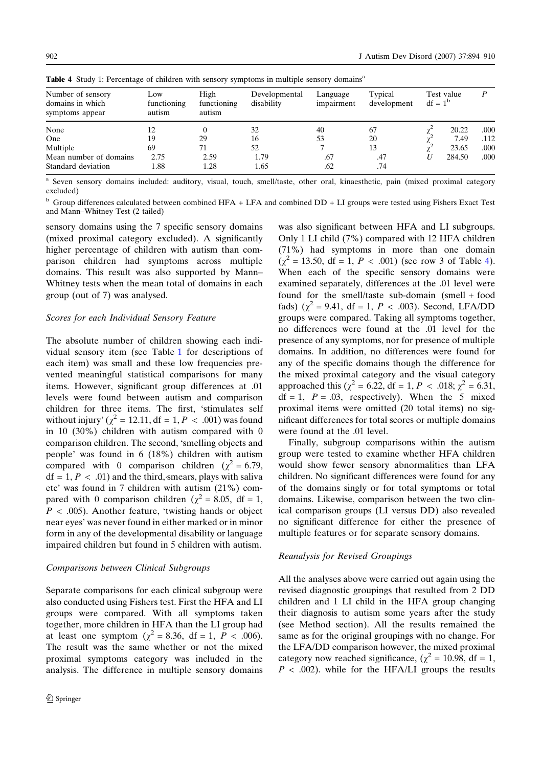| $\cdot$<br>Number of sensory<br>domains in which | Low<br>functioning | High<br>functioning | Developmental<br>disability | Language<br>impairment | Typical<br>development | $df = 1b$ | Test value |      |
|--------------------------------------------------|--------------------|---------------------|-----------------------------|------------------------|------------------------|-----------|------------|------|
| symptoms appear                                  | autism             | autism              |                             |                        |                        |           |            |      |
| None                                             |                    | 0                   | 32                          | 40                     | 67                     |           | 20.22      | .000 |
| One                                              | 19                 | 29                  | 16                          | 53                     | 20                     |           | 7.49       | .112 |
| Multiple                                         | 69                 | 71                  | 52                          |                        | 13                     |           | 23.65      | .000 |
| Mean number of domains                           | 2.75               | 2.59                | 1.79                        | .67                    | .47                    |           | 284.50     | .000 |
| Standard deviation                               | 1.88               | 1.28                | 1.65                        | .62                    | .74                    |           |            |      |

Table 4 Study 1: Percentage of children with sensory symptoms in multiple sensory domains<sup>a</sup>

a Seven sensory domains included: auditory, visual, touch, smell/taste, other oral, kinaesthetic, pain (mixed proximal category excluded)

 $<sup>b</sup>$  Group differences calculated between combined HFA + LFA and combined DD + LI groups were tested using Fishers Exact Test</sup> and Mann–Whitney Test (2 tailed)

sensory domains using the 7 specific sensory domains (mixed proximal category excluded). A significantly higher percentage of children with autism than comparison children had symptoms across multiple domains. This result was also supported by Mann– Whitney tests when the mean total of domains in each group (out of 7) was analysed.

## Scores for each Individual Sensory Feature

The absolute number of children showing each individual sensory item (see Table 1 for descriptions of each item) was small and these low frequencies prevented meaningful statistical comparisons for many items. However, significant group differences at .01 levels were found between autism and comparison children for three items. The first, 'stimulates self without injury' ( $\chi^2 = 12.11$ , df = 1, P < .001) was found in 10 (30%) children with autism compared with 0 comparison children. The second, 'smelling objects and people' was found in 6 (18%) children with autism compared with 0 comparison children ( $\chi^2 = 6.79$ ,  $df = 1, P < .01$ ) and the third, smears, plays with saliva etc' was found in 7 children with autism (21%) compared with 0 comparison children ( $\chi^2 = 8.05$ , df = 1,  $P < .005$ ). Another feature, 'twisting hands or object near eyes' was never found in either marked or in minor form in any of the developmental disability or language impaired children but found in 5 children with autism.

## Comparisons between Clinical Subgroups

Separate comparisons for each clinical subgroup were also conducted using Fishers test. First the HFA and LI groups were compared. With all symptoms taken together, more children in HFA than the LI group had at least one symptom ( $\chi^2 = 8.36$ , df = 1, P < .006). The result was the same whether or not the mixed proximal symptoms category was included in the analysis. The difference in multiple sensory domains was also significant between HFA and LI subgroups. Only 1 LI child (7%) compared with 12 HFA children (71%) had symptoms in more than one domain  $(\chi^2 = 13.50, df = 1, P < .001)$  (see row 3 of Table 4). When each of the specific sensory domains were examined separately, differences at the .01 level were found for the smell/taste sub-domain (smell + food fads) ( $\chi^2 = 9.41$ , df = 1, P < .003). Second, LFA/DD groups were compared. Taking all symptoms together, no differences were found at the .01 level for the presence of any symptoms, nor for presence of multiple domains. In addition, no differences were found for any of the specific domains though the difference for the mixed proximal category and the visual category approached this ( $\chi^2 = 6.22$ , df = 1, P < .018;  $\chi^2 = 6.31$ ,  $df = 1$ ,  $P = .03$ , respectively). When the 5 mixed proximal items were omitted (20 total items) no significant differences for total scores or multiple domains were found at the .01 level.

Finally, subgroup comparisons within the autism group were tested to examine whether HFA children would show fewer sensory abnormalities than LFA children. No significant differences were found for any of the domains singly or for total symptoms or total domains. Likewise, comparison between the two clinical comparison groups (LI versus DD) also revealed no significant difference for either the presence of multiple features or for separate sensory domains.

#### Reanalysis for Revised Groupings

All the analyses above were carried out again using the revised diagnostic groupings that resulted from 2 DD children and 1 LI child in the HFA group changing their diagnosis to autism some years after the study (see Method section). All the results remained the same as for the original groupings with no change. For the LFA/DD comparison however, the mixed proximal category now reached significance,  $(\chi^2 = 10.98, df = 1,$  $P < .002$ ). while for the HFA/LI groups the results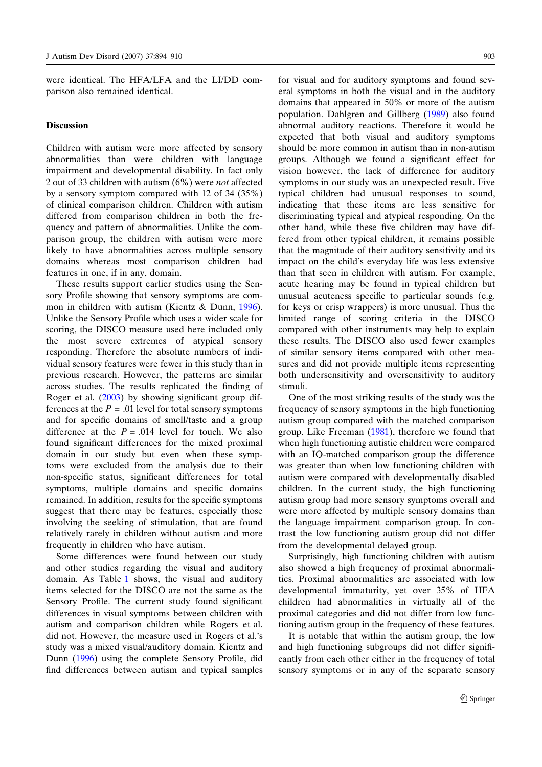were identical. The HFA/LFA and the LI/DD comparison also remained identical.

# Discussion

Children with autism were more affected by sensory abnormalities than were children with language impairment and developmental disability. In fact only 2 out of 33 children with autism (6%) were not affected by a sensory symptom compared with 12 of 34 (35%) of clinical comparison children. Children with autism differed from comparison children in both the frequency and pattern of abnormalities. Unlike the comparison group, the children with autism were more likely to have abnormalities across multiple sensory domains whereas most comparison children had features in one, if in any, domain.

These results support earlier studies using the Sensory Profile showing that sensory symptoms are common in children with autism (Kientz & Dunn, 1996). Unlike the Sensory Profile which uses a wider scale for scoring, the DISCO measure used here included only the most severe extremes of atypical sensory responding. Therefore the absolute numbers of individual sensory features were fewer in this study than in previous research. However, the patterns are similar across studies. The results replicated the finding of Roger et al. (2003) by showing significant group differences at the  $P = .01$  level for total sensory symptoms and for specific domains of smell/taste and a group difference at the  $P = .014$  level for touch. We also found significant differences for the mixed proximal domain in our study but even when these symptoms were excluded from the analysis due to their non-specific status, significant differences for total symptoms, multiple domains and specific domains remained. In addition, results for the specific symptoms suggest that there may be features, especially those involving the seeking of stimulation, that are found relatively rarely in children without autism and more frequently in children who have autism.

Some differences were found between our study and other studies regarding the visual and auditory domain. As Table 1 shows, the visual and auditory items selected for the DISCO are not the same as the Sensory Profile. The current study found significant differences in visual symptoms between children with autism and comparison children while Rogers et al. did not. However, the measure used in Rogers et al.'s study was a mixed visual/auditory domain. Kientz and Dunn (1996) using the complete Sensory Profile, did find differences between autism and typical samples

for visual and for auditory symptoms and found several symptoms in both the visual and in the auditory domains that appeared in 50% or more of the autism population. Dahlgren and Gillberg (1989) also found abnormal auditory reactions. Therefore it would be expected that both visual and auditory symptoms should be more common in autism than in non-autism groups. Although we found a significant effect for vision however, the lack of difference for auditory symptoms in our study was an unexpected result. Five typical children had unusual responses to sound, indicating that these items are less sensitive for discriminating typical and atypical responding. On the other hand, while these five children may have differed from other typical children, it remains possible that the magnitude of their auditory sensitivity and its impact on the child's everyday life was less extensive than that seen in children with autism. For example, acute hearing may be found in typical children but unusual acuteness specific to particular sounds (e.g. for keys or crisp wrappers) is more unusual. Thus the limited range of scoring criteria in the DISCO compared with other instruments may help to explain these results. The DISCO also used fewer examples of similar sensory items compared with other measures and did not provide multiple items representing both undersensitivity and oversensitivity to auditory stimuli.

One of the most striking results of the study was the frequency of sensory symptoms in the high functioning autism group compared with the matched comparison group. Like Freeman (1981), therefore we found that when high functioning autistic children were compared with an IQ-matched comparison group the difference was greater than when low functioning children with autism were compared with developmentally disabled children. In the current study, the high functioning autism group had more sensory symptoms overall and were more affected by multiple sensory domains than the language impairment comparison group. In contrast the low functioning autism group did not differ from the developmental delayed group.

Surprisingly, high functioning children with autism also showed a high frequency of proximal abnormalities. Proximal abnormalities are associated with low developmental immaturity, yet over 35% of HFA children had abnormalities in virtually all of the proximal categories and did not differ from low functioning autism group in the frequency of these features.

It is notable that within the autism group, the low and high functioning subgroups did not differ significantly from each other either in the frequency of total sensory symptoms or in any of the separate sensory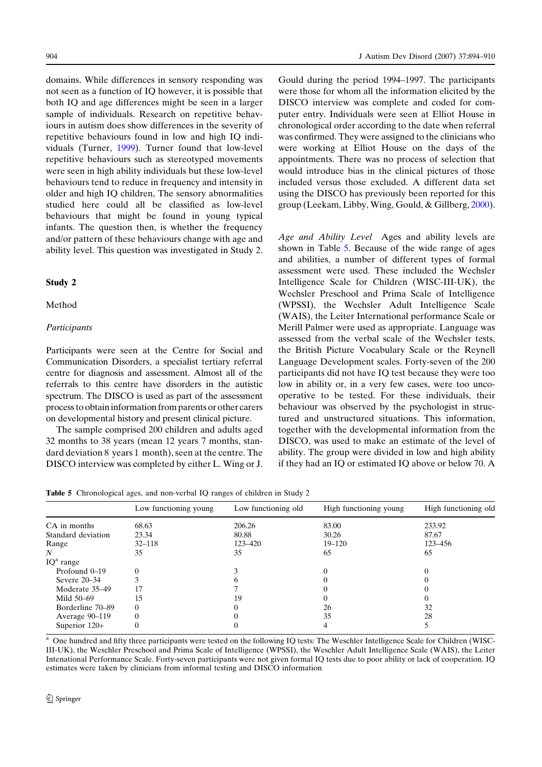domains. While differences in sensory responding was not seen as a function of IQ however, it is possible that both IQ and age differences might be seen in a larger sample of individuals. Research on repetitive behaviours in autism does show differences in the severity of repetitive behaviours found in low and high IQ individuals (Turner, 1999). Turner found that low-level repetitive behaviours such as stereotyped movements were seen in high ability individuals but these low-level behaviours tend to reduce in frequency and intensity in older and high IQ children, The sensory abnormalities studied here could all be classified as low-level behaviours that might be found in young typical infants. The question then, is whether the frequency and/or pattern of these behaviours change with age and ability level. This question was investigated in Study 2.

# Study 2

# Method

# Participants

Participants were seen at the Centre for Social and Communication Disorders, a specialist tertiary referral centre for diagnosis and assessment. Almost all of the referrals to this centre have disorders in the autistic spectrum. The DISCO is used as part of the assessment process to obtain information from parents or other carers on developmental history and present clinical picture.

The sample comprised 200 children and adults aged 32 months to 38 years (mean 12 years 7 months, standard deviation 8 years 1 month), seen at the centre. The DISCO interview was completed by either L. Wing or J. Gould during the period 1994–1997. The participants were those for whom all the information elicited by the DISCO interview was complete and coded for computer entry. Individuals were seen at Elliot House in chronological order according to the date when referral was confirmed. They were assigned to the clinicians who were working at Elliot House on the days of the appointments. There was no process of selection that would introduce bias in the clinical pictures of those included versus those excluded. A different data set using the DISCO has previously been reported for this group (Leekam, Libby, Wing, Gould, & Gillberg, 2000).

Age and Ability Level Ages and ability levels are shown in Table 5. Because of the wide range of ages and abilities, a number of different types of formal assessment were used. These included the Wechsler Intelligence Scale for Children (WISC-III-UK), the Wechsler Preschool and Prima Scale of Intelligence (WPSSI), the Wechsler Adult Intelligence Scale (WAIS), the Leiter International performance Scale or Merill Palmer were used as appropriate. Language was assessed from the verbal scale of the Wechsler tests, the British Picture Vocabulary Scale or the Reynell Language Development scales. Forty-seven of the 200 participants did not have IQ test because they were too low in ability or, in a very few cases, were too uncooperative to be tested. For these individuals, their behaviour was observed by the psychologist in structured and unstructured situations. This information, together with the developmental information from the DISCO, was used to make an estimate of the level of ability. The group were divided in low and high ability if they had an IQ or estimated IQ above or below 70. A

Table 5 Chronological ages, and non-verbal IQ ranges of children in Study 2

|                    | Low functioning young | Low functioning old | High functioning young | High functioning old |
|--------------------|-----------------------|---------------------|------------------------|----------------------|
|                    |                       |                     |                        |                      |
| CA in months       | 68.63                 | 206.26              | 83.00                  | 233.92               |
| Standard deviation | 23.34                 | 80.88               | 30.26                  | 87.67                |
| Range              | $32 - 118$            | 123–420             | 19–120                 | 123-456              |
| N                  | 35                    | 35                  | 65                     | 65                   |
| $IQa$ range        |                       |                     |                        |                      |
| Profound 0–19      |                       |                     |                        |                      |
| Severe $20-34$     |                       |                     |                        |                      |
| Moderate 35–49     |                       |                     |                        |                      |
| Mild 50–69         | 15                    | 19                  |                        |                      |
| Borderline 70–89   | $\Omega$              |                     | 26                     | 32                   |
| Average 90-119     |                       |                     | 35                     | 28                   |
| Superior $120+$    |                       |                     |                        |                      |

<sup>a</sup> One hundred and fifty three participants were tested on the following IQ tests: The Weschler Intelligence Scale for Children (WISC-III-UK), the Weschler Preschool and Prima Scale of Intelligence (WPSSI), the Weschler Adult Intelligence Scale (WAIS), the Leiter Intenational Performance Scale. Forty-seven participants were not given formal IQ tests due to poor ability or lack of cooperation. IQ estimates were taken by clinicians from informal testing and DISCO information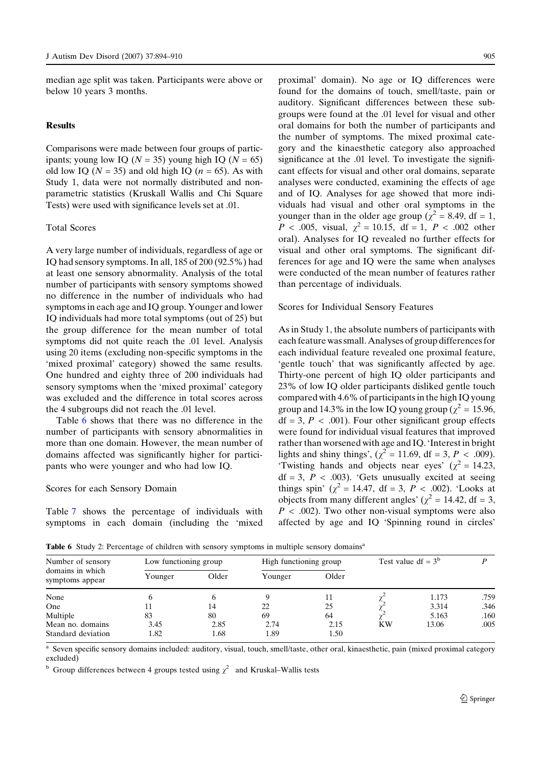median age split was taken. Participants were above or below 10 years 3 months.

# **Results**

Comparisons were made between four groups of participants; young low IQ ( $N = 35$ ) young high IQ ( $N = 65$ ) old low IQ ( $N = 35$ ) and old high IQ ( $n = 65$ ). As with Study 1, data were not normally distributed and nonparametric statistics (Kruskall Wallis and Chi Square Tests) were used with significance levels set at .01.

## Total Scores

A very large number of individuals, regardless of age or IQ had sensory symptoms. In all, 185 of 200 (92.5%) had at least one sensory abnormality. Analysis of the total number of participants with sensory symptoms showed no difference in the number of individuals who had symptoms in each age and IQ group. Younger and lower IQ individuals had more total symptoms (out of 25) but the group difference for the mean number of total symptoms did not quite reach the .01 level. Analysis using 20 items (excluding non-specific symptoms in the 'mixed proximal' category) showed the same results. One hundred and eighty three of 200 individuals had sensory symptoms when the 'mixed proximal' category was excluded and the difference in total scores across the 4 subgroups did not reach the .01 level.

Table 6 shows that there was no difference in the number of participants with sensory abnormalities in more than one domain. However, the mean number of domains affected was significantly higher for participants who were younger and who had low IQ.

#### Scores for each Sensory Domain

Table 7 shows the percentage of individuals with symptoms in each domain (including the 'mixed

proximal' domain). No age or IQ differences were found for the domains of touch, smell/taste, pain or auditory. Significant differences between these subgroups were found at the .01 level for visual and other oral domains for both the number of participants and the number of symptoms. The mixed proximal category and the kinaesthetic category also approached significance at the .01 level. To investigate the significant effects for visual and other oral domains, separate analyses were conducted, examining the effects of age and of IQ. Analyses for age showed that more individuals had visual and other oral symptoms in the younger than in the older age group ( $\chi^2 = 8.49$ , df = 1,  $P < .005$ , visual,  $\chi^2 = 10.15$ , df = 1,  $P < .002$  other oral). Analyses for IQ revealed no further effects for visual and other oral symptoms. The significant differences for age and IQ were the same when analyses were conducted of the mean number of features rather than percentage of individuals.

Scores for Individual Sensory Features

As in Study 1, the absolute numbers of participants with each feature was small. Analyses of group differences for each individual feature revealed one proximal feature, 'gentle touch' that was significantly affected by age. Thirty-one percent of high IQ older participants and 23% of low IQ older participants disliked gentle touch compared with 4.6% of participants in the high IQ young group and 14.3% in the low IQ young group ( $\chi^2 = 15.96$ ,  $df = 3, P < .001$ ). Four other significant group effects were found for individual visual features that improved rather than worsened with age and IQ. 'Interest in bright lights and shiny things', ( $\chi^2 = 11.69$ , df = 3, P < .009). 'Twisting hands and objects near eyes' ( $\chi^2 = 14.23$ ,  $df = 3$ ,  $P < .003$ ). 'Gets unusually excited at seeing things spin' ( $\chi^2 = 14.47$ , df = 3, P < .002). 'Looks at objects from many different angles' ( $\chi^2 = 14.42$ , df = 3,  $P < .002$ ). Two other non-visual symptoms were also affected by age and IQ 'Spinning round in circles'

Table 6 Study 2: Percentage of children with sensory symptoms in multiple sensory domains<sup>a</sup>

| Number of sensory<br>domains in which<br>symptoms appear | Low functioning group |       | High functioning group |       | Test value df = $3^b$ |       |      |
|----------------------------------------------------------|-----------------------|-------|------------------------|-------|-----------------------|-------|------|
|                                                          | Younger               | Older | Younger                | Older |                       |       |      |
| None                                                     |                       |       |                        | 11    |                       | 1.173 | .759 |
| One                                                      |                       | 14    | 22                     | 25    |                       | 3.314 | .346 |
| Multiple                                                 | 83                    | 80    | 69                     | 64    |                       | 5.163 | .160 |
| Mean no. domains                                         | 3.45                  | 2.85  | 2.74                   | 2.15  | KW                    | 13.06 | .005 |
| Standard deviation                                       | 1.82                  | 1.68  | 1.89                   | 1.50  |                       |       |      |

<sup>a</sup> Seven specific sensory domains included: auditory, visual, touch, smell/taste, other oral, kinaesthetic, pain (mixed proximal category excluded)

<sup>b</sup> Group differences between 4 groups tested using  $\chi^2$  and Kruskal–Wallis tests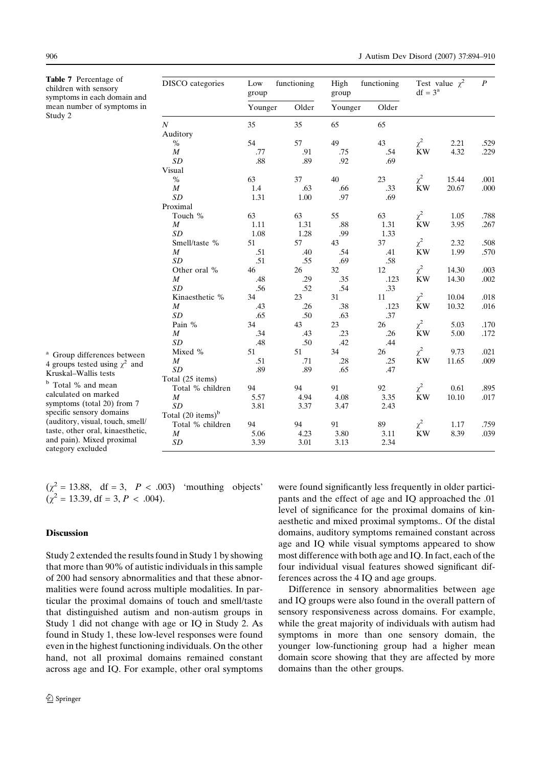| <b>Table 7</b> Percentage of |
|------------------------------|
| children with sensory        |
| symptoms in each domain and  |
| mean number of symptoms in   |
| Study 2                      |

| DISCO categories                | Low<br>group | functioning | High<br>group | functioning | Test value $\chi^2$<br>$df = 3^a$<br>Older |       | $\boldsymbol{P}$ |
|---------------------------------|--------------|-------------|---------------|-------------|--------------------------------------------|-------|------------------|
|                                 | Younger      | Older       | Younger       |             |                                            |       |                  |
| $\boldsymbol{N}$                | 35           | 35          | 65            | 65          |                                            |       |                  |
| Auditory                        |              |             |               |             |                                            |       |                  |
| $\%$                            | 54           | 57          | 49            | 43          | $\chi^2$                                   | 2.21  | .529             |
| $\boldsymbol{M}$                | .77          | .91         | .75           | .54         | <b>KW</b>                                  | 4.32  | .229             |
| SD                              | .88          | .89         | .92           | .69         |                                            |       |                  |
| Visual                          |              |             |               |             |                                            |       |                  |
| $\%$                            | 63           | 37          | 40            | 23          | $\chi^2$                                   | 15.44 | .001             |
| $\boldsymbol{M}$                | 1.4          | .63         | .66           | .33         | $\mathbf{K}\mathbf{W}$                     | 20.67 | .000             |
| SD                              | 1.31         | 1.00        | .97           | .69         |                                            |       |                  |
| Proximal                        |              |             |               |             |                                            |       |                  |
| Touch %                         | 63           | 63          | 55            | 63          | $\chi^2$                                   | 1.05  | .788             |
| $\boldsymbol{M}$                | 1.11         | 1.31        | .88           | 1.31        | <b>KW</b>                                  | 3.95  | .267             |
| <b>SD</b>                       | 1.08         | 1.28        | .99           | 1.33        |                                            |       |                  |
| Smell/taste %                   | 51           | 57          | 43            | 37          | $\chi^2$                                   | 2.32  | .508             |
| $\boldsymbol{M}$                | .51          | .40         | .54           | .41         | <b>KW</b>                                  | 1.99  | .570             |
| SD                              | .51          | .55         | .69           | .58         |                                            |       |                  |
| Other oral %                    | 46           | 26          | 32            | 12          | $\chi^2$                                   | 14.30 | .003             |
| $\boldsymbol{M}$                | .48          | .29         | .35           | .123        | <b>KW</b>                                  | 14.30 | .002             |
| SD                              | .56          | .52         | .54           | .33         |                                            |       |                  |
| Kinaesthetic %                  | 34           | 23          | 31            | 11          | $\chi^2$                                   | 10.04 | .018             |
| $\boldsymbol{M}$                | .43          | .26         | .38           | .123        | <b>KW</b>                                  | 10.32 | .016             |
| $\cal SD$                       | .65          | .50         | .63           | .37         |                                            |       |                  |
| Pain %                          | 34           | 43          | 23            | 26          | $\chi^2$                                   | 5.03  | .170             |
| $\boldsymbol{M}$                | .34          | .43         | .23           | .26         | $\mathbf{K}\mathbf{W}$                     | 5.00  | .172             |
| SD                              | .48          | .50         | .42           | .44         |                                            |       |                  |
| Mixed %                         | 51           | 51          | 34            | 26          | $\chi^2$                                   | 9.73  | .021             |
| $\boldsymbol{M}$                | .51          | .71         | .28           | .25         | $\mathbf{K}\mathbf{W}$                     | 11.65 | .009             |
| SD                              | .89          | .89         | .65           | .47         |                                            |       |                  |
| Total (25 items)                |              |             |               |             |                                            |       |                  |
| Total % children                | 94           | 94          | 91            | 92          | $\chi^2$                                   | 0.61  | .895             |
| $\boldsymbol{M}$                | 5.57         | 4.94        | 4.08          | 3.35        | $\mathbf{K}\mathbf{W}$                     | 10.10 | .017             |
| SD                              | 3.81         | 3.37        | 3.47          | 2.43        |                                            |       |                  |
| Total $(20$ items) <sup>b</sup> |              |             |               |             |                                            |       |                  |
| Total % children                | 94           | 94          | 91            | 89          | $\chi^2$                                   | 1.17  | .759             |
| $\boldsymbol{M}$                | 5.06         | 4.23        | 3.80          | 3.11        | $\mathbf{K}\mathbf{W}$                     | 8.39  | .039             |
| $\cal SD$                       | 3.39         | 3.01        | 3.13          | 2.34        |                                            |       |                  |
|                                 |              |             |               |             |                                            |       |                  |

<sup>a</sup> Group differences between 4 groups tested using  $\chi^2$  and Kruskal–Wallis tests <sup>b</sup> Total % and mean calculated on marked symptoms (total 20) from 7 specific sensory domains (auditory, visual, touch, smell/ taste, other oral, kinaesthetic, and pain). Mixed proximal category excluded

 $(\chi^2 = 13.88, \text{ df} = 3, P < .003)$  'mouthing objects'  $(\chi^2 = 13.39, df = 3, P < .004).$ 

# Discussion

Study 2 extended the results found in Study 1 by showing that more than 90% of autistic individuals in this sample of 200 had sensory abnormalities and that these abnormalities were found across multiple modalities. In particular the proximal domains of touch and smell/taste that distinguished autism and non-autism groups in Study 1 did not change with age or IQ in Study 2. As found in Study 1, these low-level responses were found even in the highest functioning individuals. On the other hand, not all proximal domains remained constant across age and IQ. For example, other oral symptoms were found significantly less frequently in older participants and the effect of age and IQ approached the .01 level of significance for the proximal domains of kinaesthetic and mixed proximal symptoms.. Of the distal domains, auditory symptoms remained constant across age and IQ while visual symptoms appeared to show most difference with both age and IQ. In fact, each of the four individual visual features showed significant differences across the 4 IQ and age groups.

Difference in sensory abnormalities between age and IQ groups were also found in the overall pattern of sensory responsiveness across domains. For example, while the great majority of individuals with autism had symptoms in more than one sensory domain, the younger low-functioning group had a higher mean domain score showing that they are affected by more domains than the other groups.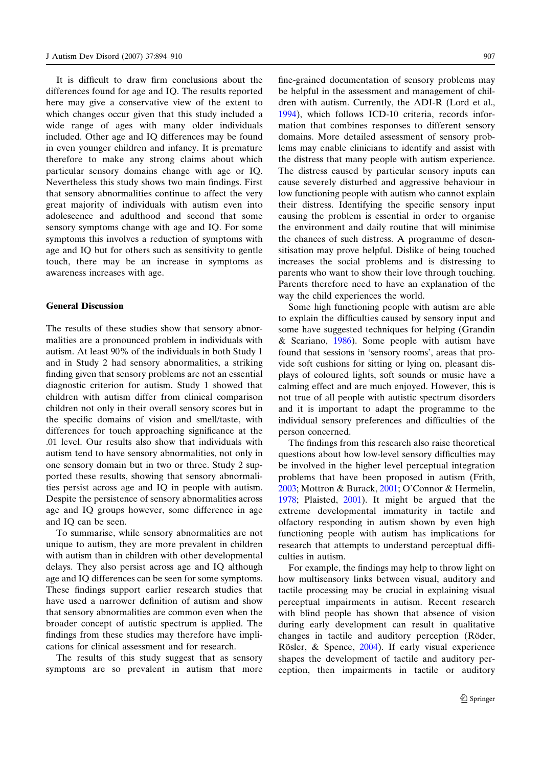It is difficult to draw firm conclusions about the differences found for age and IQ. The results reported here may give a conservative view of the extent to which changes occur given that this study included a wide range of ages with many older individuals included. Other age and IQ differences may be found in even younger children and infancy. It is premature therefore to make any strong claims about which particular sensory domains change with age or IQ. Nevertheless this study shows two main findings. First that sensory abnormalities continue to affect the very great majority of individuals with autism even into adolescence and adulthood and second that some sensory symptoms change with age and IQ. For some symptoms this involves a reduction of symptoms with age and IQ but for others such as sensitivity to gentle touch, there may be an increase in symptoms as awareness increases with age.

## General Discussion

The results of these studies show that sensory abnormalities are a pronounced problem in individuals with autism. At least 90% of the individuals in both Study 1 and in Study 2 had sensory abnormalities, a striking finding given that sensory problems are not an essential diagnostic criterion for autism. Study 1 showed that children with autism differ from clinical comparison children not only in their overall sensory scores but in the specific domains of vision and smell/taste, with differences for touch approaching significance at the .01 level. Our results also show that individuals with autism tend to have sensory abnormalities, not only in one sensory domain but in two or three. Study 2 supported these results, showing that sensory abnormalities persist across age and IQ in people with autism. Despite the persistence of sensory abnormalities across age and IQ groups however, some difference in age and IQ can be seen.

To summarise, while sensory abnormalities are not unique to autism, they are more prevalent in children with autism than in children with other developmental delays. They also persist across age and IQ although age and IQ differences can be seen for some symptoms. These findings support earlier research studies that have used a narrower definition of autism and show that sensory abnormalities are common even when the broader concept of autistic spectrum is applied. The findings from these studies may therefore have implications for clinical assessment and for research.

The results of this study suggest that as sensory symptoms are so prevalent in autism that more

fine-grained documentation of sensory problems may be helpful in the assessment and management of children with autism. Currently, the ADI-R (Lord et al., 1994), which follows ICD-10 criteria, records information that combines responses to different sensory domains. More detailed assessment of sensory problems may enable clinicians to identify and assist with the distress that many people with autism experience. The distress caused by particular sensory inputs can cause severely disturbed and aggressive behaviour in low functioning people with autism who cannot explain their distress. Identifying the specific sensory input causing the problem is essential in order to organise the environment and daily routine that will minimise the chances of such distress. A programme of desensitisation may prove helpful. Dislike of being touched increases the social problems and is distressing to parents who want to show their love through touching. Parents therefore need to have an explanation of the way the child experiences the world.

Some high functioning people with autism are able to explain the difficulties caused by sensory input and some have suggested techniques for helping (Grandin & Scariano, 1986). Some people with autism have found that sessions in 'sensory rooms', areas that provide soft cushions for sitting or lying on, pleasant displays of coloured lights, soft sounds or music have a calming effect and are much enjoyed. However, this is not true of all people with autistic spectrum disorders and it is important to adapt the programme to the individual sensory preferences and difficulties of the person concerned.

The findings from this research also raise theoretical questions about how low-level sensory difficulties may be involved in the higher level perceptual integration problems that have been proposed in autism (Frith, 2003; Mottron & Burack, 2001; O'Connor & Hermelin, 1978; Plaisted, 2001). It might be argued that the extreme developmental immaturity in tactile and olfactory responding in autism shown by even high functioning people with autism has implications for research that attempts to understand perceptual difficulties in autism.

For example, the findings may help to throw light on how multisensory links between visual, auditory and tactile processing may be crucial in explaining visual perceptual impairments in autism. Recent research with blind people has shown that absence of vision during early development can result in qualitative changes in tactile and auditory perception (Röder, Rösler, & Spence, 2004). If early visual experience shapes the development of tactile and auditory perception, then impairments in tactile or auditory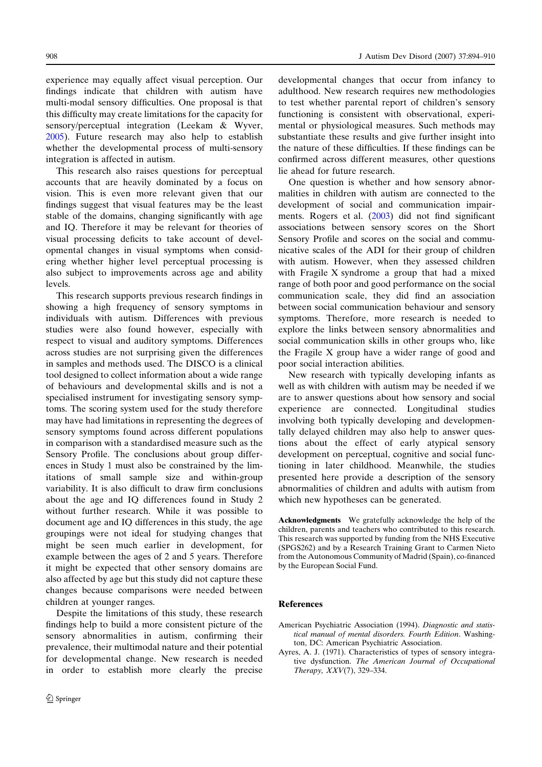experience may equally affect visual perception. Our findings indicate that children with autism have multi-modal sensory difficulties. One proposal is that this difficulty may create limitations for the capacity for sensory/perceptual integration (Leekam & Wyver, 2005). Future research may also help to establish whether the developmental process of multi-sensory integration is affected in autism.

This research also raises questions for perceptual accounts that are heavily dominated by a focus on vision. This is even more relevant given that our findings suggest that visual features may be the least stable of the domains, changing significantly with age and IQ. Therefore it may be relevant for theories of visual processing deficits to take account of developmental changes in visual symptoms when considering whether higher level perceptual processing is also subject to improvements across age and ability levels.

This research supports previous research findings in showing a high frequency of sensory symptoms in individuals with autism. Differences with previous studies were also found however, especially with respect to visual and auditory symptoms. Differences across studies are not surprising given the differences in samples and methods used. The DISCO is a clinical tool designed to collect information about a wide range of behaviours and developmental skills and is not a specialised instrument for investigating sensory symptoms. The scoring system used for the study therefore may have had limitations in representing the degrees of sensory symptoms found across different populations in comparison with a standardised measure such as the Sensory Profile. The conclusions about group differences in Study 1 must also be constrained by the limitations of small sample size and within-group variability. It is also difficult to draw firm conclusions about the age and IQ differences found in Study 2 without further research. While it was possible to document age and IQ differences in this study, the age groupings were not ideal for studying changes that might be seen much earlier in development, for example between the ages of 2 and 5 years. Therefore it might be expected that other sensory domains are also affected by age but this study did not capture these changes because comparisons were needed between children at younger ranges.

Despite the limitations of this study, these research findings help to build a more consistent picture of the sensory abnormalities in autism, confirming their prevalence, their multimodal nature and their potential for developmental change. New research is needed in order to establish more clearly the precise

developmental changes that occur from infancy to adulthood. New research requires new methodologies to test whether parental report of children's sensory functioning is consistent with observational, experimental or physiological measures. Such methods may substantiate these results and give further insight into the nature of these difficulties. If these findings can be confirmed across different measures, other questions lie ahead for future research.

One question is whether and how sensory abnormalities in children with autism are connected to the development of social and communication impairments. Rogers et al. (2003) did not find significant associations between sensory scores on the Short Sensory Profile and scores on the social and communicative scales of the ADI for their group of children with autism. However, when they assessed children with Fragile X syndrome a group that had a mixed range of both poor and good performance on the social communication scale, they did find an association between social communication behaviour and sensory symptoms. Therefore, more research is needed to explore the links between sensory abnormalities and social communication skills in other groups who, like the Fragile X group have a wider range of good and poor social interaction abilities.

New research with typically developing infants as well as with children with autism may be needed if we are to answer questions about how sensory and social experience are connected. Longitudinal studies involving both typically developing and developmentally delayed children may also help to answer questions about the effect of early atypical sensory development on perceptual, cognitive and social functioning in later childhood. Meanwhile, the studies presented here provide a description of the sensory abnormalities of children and adults with autism from which new hypotheses can be generated.

Acknowledgments We gratefully acknowledge the help of the children, parents and teachers who contributed to this research. This research was supported by funding from the NHS Executive (SPGS262) and by a Research Training Grant to Carmen Nieto from the Autonomous Community of Madrid (Spain), co-financed by the European Social Fund.

# References

- American Psychiatric Association (1994). Diagnostic and statistical manual of mental disorders. Fourth Edition. Washington, DC: American Psychiatric Association.
- Ayres, A. J. (1971). Characteristics of types of sensory integrative dysfunction. The American Journal of Occupational Therapy, XXV(7), 329–334.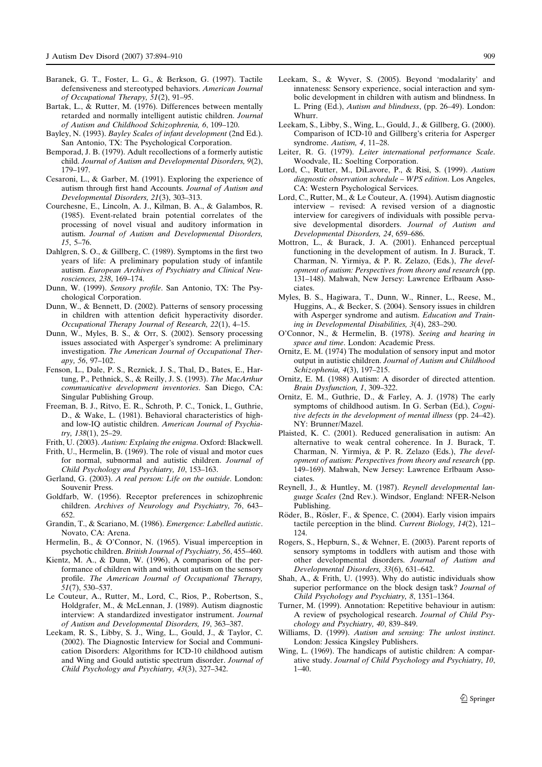- Baranek, G. T., Foster, L. G., & Berkson, G. (1997). Tactile defensiveness and stereotyped behaviors. American Journal of Occupational Therapy, 51(2), 91–95.
- Bartak, L., & Rutter, M. (1976). Differences between mentally retarded and normally intelligent autistic children. Journal of Autism and Childhood Schizophrenia, 6, 109–120.
- Bayley, N. (1993). Bayley Scales of infant development (2nd Ed.). San Antonio, TX: The Psychological Corporation.
- Bemporad, J. B. (1979). Adult recollections of a formerly autistic child. Journal of Autism and Developmental Disorders, 9(2), 179–197.
- Cesaroni, L., & Garber, M. (1991). Exploring the experience of autism through first hand Accounts. Journal of Autism and Developmental Disorders, 21(3), 303–313.
- Courchesne, E., Lincoln, A. J., Kilman, B. A., & Galambos, R. (1985). Event-related brain potential correlates of the processing of novel visual and auditory information in autism. Journal of Autism and Developmental Disorders, 15, 5–76.
- Dahlgren, S. O., & Gillberg, C. (1989). Symptoms in the first two years of life: A preliminary population study of infantile autism. European Archives of Psychiatry and Clinical Neurosciences, 238, 169–174.
- Dunn, W. (1999). Sensory profile. San Antonio, TX: The Psychological Corporation.
- Dunn, W., & Bennett, D. (2002). Patterns of sensory processing in children with attention deficit hyperactivity disorder. Occupational Therapy Journal of Research, 22(1), 4–15.
- Dunn, W., Myles, B. S., & Orr, S. (2002). Sensory processing issues associated with Asperger's syndrome: A preliminary investigation. The American Journal of Occupational Therapy, 56, 97–102.
- Fenson, L., Dale, P. S., Reznick, J. S., Thal, D., Bates, E., Hartung, P., Pethnick, S., & Reilly, J. S. (1993). The MacArthur communicative development inventories. San Diego, CA: Singular Publishing Group.
- Freeman, B. J., Ritvo, E. R., Schroth, P. C., Tonick, I., Guthrie, D., & Wake, L. (1981). Behavioral characteristics of highand low-IQ autistic children. American Journal of Psychiatry, 138(1), 25–29.
- Frith, U. (2003). Autism: Explaing the enigma. Oxford: Blackwell.
- Frith, U., Hermelin, B. (1969). The role of visual and motor cues for normal, subnormal and autistic children. Journal of Child Psychology and Psychiatry, 10, 153–163.
- Gerland, G. (2003). A real person: Life on the outside. London: Souvenir Press.
- Goldfarb, W. (1956). Receptor preferences in schizophrenic children. Archives of Neurology and Psychiatry, 76, 643– 652.
- Grandin, T., & Scariano, M. (1986). Emergence: Labelled autistic. Novato, CA: Arena.
- Hermelin, B., & O'Connor, N. (1965). Visual imperception in psychotic children. British Journal of Psychiatry, 56, 455–460.
- Kientz, M. A., & Dunn, W. (1996), A comparison of the performance of children with and without autism on the sensory profile. The American Journal of Occupational Therapy, 51(7), 530–537.
- Le Couteur, A., Rutter, M., Lord, C., Rios, P., Robertson, S., Holdgrafer, M., & McLennan, J. (1989). Autism diagnostic interview: A standardized investigator instrument. Journal of Autism and Developmental Disorders, 19, 363–387.
- Leekam, R. S., Libby, S. J., Wing, L., Gould, J., & Taylor, C. (2002). The Diagnostic Interview for Social and Communication Disorders: Algorithms for ICD-10 childhood autism and Wing and Gould autistic spectrum disorder. Journal of Child Psychology and Psychiatry, 43(3), 327–342.
- Leekam, S., & Wyver, S. (2005). Beyond 'modalarity' and innateness: Sensory experience, social interaction and symbolic development in children with autism and blindness. In L. Pring (Ed.), Autism and blindness, (pp. 26–49). London: Whurr.
- Leekam, S., Libby, S., Wing, L., Gould, J., & Gillberg, G. (2000). Comparison of ICD-10 and Gillberg's criteria for Asperger syndrome. Autism, 4, 11–28.
- Leiter, R. G. (1979). Leiter international performance Scale. Woodvale, IL: Soelting Corporation.
- Lord, C., Rutter, M., DiLavore, P., & Risi, S. (1999). Autism diagnostic observation schedule – WPS edition. Los Angeles, CA: Western Psychological Services.
- Lord, C., Rutter, M., & Le Couteur, A. (1994). Autism diagnostic interview – revised: A revised version of a diagnostic interview for caregivers of individuals with possible pervasive developmental disorders. Journal of Autism and Developmental Disorders, 24, 659–686.
- Mottron, L., & Burack, J. A. (2001). Enhanced perceptual functioning in the development of autism. In J. Burack, T. Charman, N. Yirmiya, & P. R. Zelazo, (Eds.), The development of autism: Perspectives from theory and research (pp. 131–148). Mahwah, New Jersey: Lawrence Erlbaum Associates.
- Myles, B. S., Hagiwara, T., Dunn, W., Rinner, L., Reese, M., Huggins, A., & Becker, S. (2004). Sensory issues in children with Asperger syndrome and autism. Education and Training in Developmental Disabilities, 3(4), 283–290.
- O'Connor, N., & Hermelin, B. (1978). Seeing and hearing in space and time. London: Academic Press.
- Ornitz, E. M. (1974) The modulation of sensory input and motor output in autistic children. Journal of Autism and Childhood Schizophenia, 4(3), 197–215.
- Ornitz, E. M. (1988) Autism: A disorder of directed attention. Brain Dysfunction, 1, 309–322.
- Ornitz, E. M., Guthrie, D., & Farley, A. J. (1978) The early symptoms of childhood autism. In G. Serban (Ed.), Cognitive defects in the development of mental illness (pp. 24–42). NY: Brunner/Mazel.
- Plaisted, K. C. (2001). Reduced generalisation in autism: An alternative to weak central coherence. In J. Burack, T. Charman, N. Yirmiya, & P. R. Zelazo (Eds.), The development of autism: Perspectives from theory and research (pp. 149–169). Mahwah, New Jersey: Lawrence Erlbaum Associates.
- Reynell, J., & Huntley, M. (1987). Reynell developmental language Scales (2nd Rev.). Windsor, England: NFER-Nelson Publishing.
- Röder, B., Rösler, F., & Spence, C. (2004). Early vision impairs tactile perception in the blind. Current Biology, 14(2), 121– 124.
- Rogers, S., Hepburn, S., & Wehner, E. (2003). Parent reports of sensory symptoms in toddlers with autism and those with other developmental disorders. Journal of Autism and Developmental Disorders, 33(6), 631–642.
- Shah, A., & Frith, U. (1993). Why do autistic individuals show superior performance on the block design task? Journal of Child Psychology and Psychiatry, 8, 1351–1364.
- Turner, M. (1999). Annotation: Repetitive behaviour in autism: A review of psychological research. Journal of Child Psychology and Psychiatry, 40, 839–849.
- Williams, D. (1999). Autism and sensing: The unlost instinct. London: Jessica Kingsley Publishers.
- Wing, L. (1969). The handicaps of autistic children: A comparative study. Journal of Child Psychology and Psychiatry, 10, 1–40.